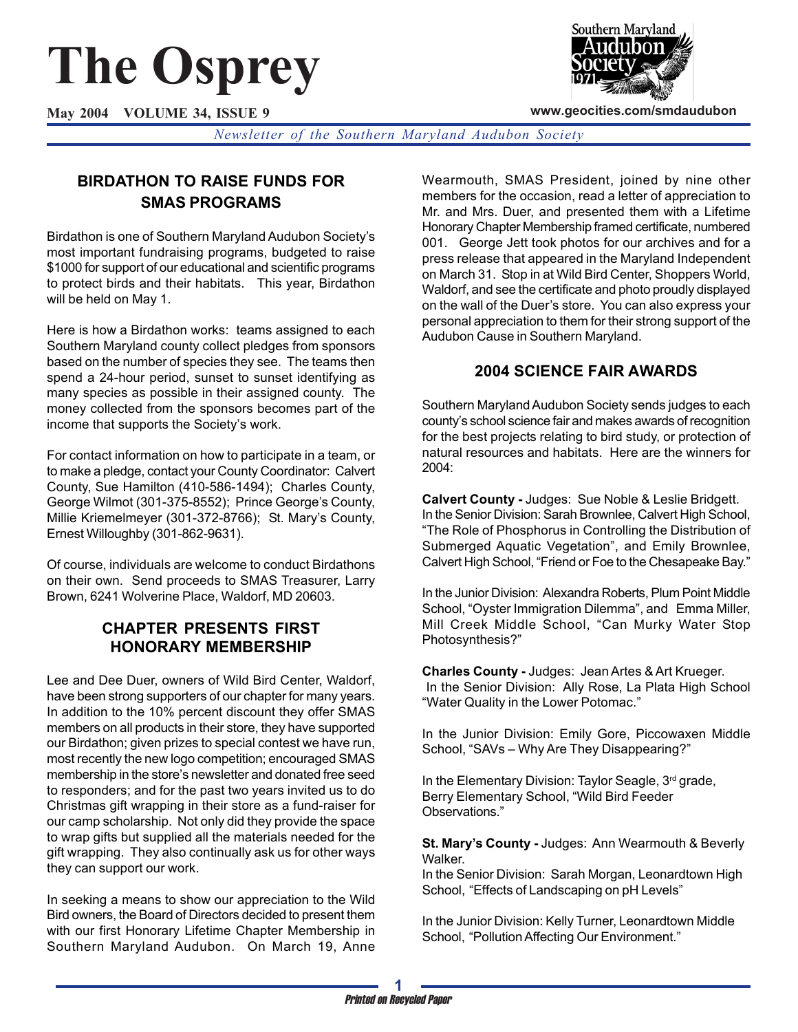# **The Osprey**

**May 2004 VOLUME 34, ISSUE 9**



**www.geocities.com/smdaudubon**

*Newsletter of the Southern Maryland Audubon Society*

## **BIRDATHON TO RAISE FUNDS FOR SMAS PROGRAMS**

Birdathon is one of Southern Maryland Audubon Society's most important fundraising programs, budgeted to raise \$1000 for support of our educational and scientific programs to protect birds and their habitats. This year, Birdathon will be held on May 1.

Here is how a Birdathon works: teams assigned to each Southern Maryland county collect pledges from sponsors based on the number of species they see. The teams then spend a 24-hour period, sunset to sunset identifying as many species as possible in their assigned county. The money collected from the sponsors becomes part of the income that supports the Society's work.

For contact information on how to participate in a team, or to make a pledge, contact your County Coordinator: Calvert County, Sue Hamilton (410-586-1494); Charles County, George Wilmot (301-375-8552); Prince George's County, Millie Kriemelmeyer (301-372-8766); St. Mary's County, Ernest Willoughby (301-862-9631).

Of course, individuals are welcome to conduct Birdathons on their own. Send proceeds to SMAS Treasurer, Larry Brown, 6241 Wolverine Place, Waldorf, MD 20603.

## **CHAPTER PRESENTS FIRST HONORARY MEMBERSHIP**

Lee and Dee Duer, owners of Wild Bird Center, Waldorf, have been strong supporters of our chapter for many years. In addition to the 10% percent discount they offer SMAS members on all products in their store, they have supported our Birdathon; given prizes to special contest we have run, most recently the new logo competition; encouraged SMAS membership in the store's newsletter and donated free seed to responders; and for the past two years invited us to do Christmas gift wrapping in their store as a fund-raiser for our camp scholarship. Not only did they provide the space to wrap gifts but supplied all the materials needed for the gift wrapping. They also continually ask us for other ways they can support our work.

In seeking a means to show our appreciation to the Wild Bird owners, the Board of Directors decided to present them with our first Honorary Lifetime Chapter Membership in Southern Maryland Audubon. On March 19, Anne Wearmouth, SMAS President, joined by nine other members for the occasion, read a letter of appreciation to Mr. and Mrs. Duer, and presented them with a Lifetime Honorary Chapter Membership framed certificate, numbered 001. George Jett took photos for our archives and for a press release that appeared in the Maryland Independent on March 31. Stop in at Wild Bird Center, Shoppers World, Waldorf, and see the certificate and photo proudly displayed on the wall of the Duer's store. You can also express your personal appreciation to them for their strong support of the Audubon Cause in Southern Maryland.

## **2004 SCIENCE FAIR AWARDS**

Southern Maryland Audubon Society sends judges to each county's school science fair and makes awards of recognition for the best projects relating to bird study, or protection of natural resources and habitats. Here are the winners for 2004:

**Calvert County -** Judges: Sue Noble & Leslie Bridgett. In the Senior Division: Sarah Brownlee, Calvert High School, "The Role of Phosphorus in Controlling the Distribution of Submerged Aquatic Vegetation", and Emily Brownlee, Calvert High School, "Friend or Foe to the Chesapeake Bay."

In the Junior Division: Alexandra Roberts, Plum Point Middle School, "Oyster Immigration Dilemma", and Emma Miller, Mill Creek Middle School, "Can Murky Water Stop Photosynthesis?"

**Charles County -** Judges: Jean Artes & Art Krueger. In the Senior Division: Ally Rose, La Plata High School "Water Quality in the Lower Potomac."

In the Junior Division: Emily Gore, Piccowaxen Middle School, "SAVs – Why Are They Disappearing?"

In the Elementary Division: Taylor Seagle, 3rd grade, Berry Elementary School, "Wild Bird Feeder Observations."

**St. Mary's County -** Judges: Ann Wearmouth & Beverly Walker.

In the Senior Division: Sarah Morgan, Leonardtown High School, "Effects of Landscaping on pH Levels"

In the Junior Division: Kelly Turner, Leonardtown Middle School, "Pollution Affecting Our Environment."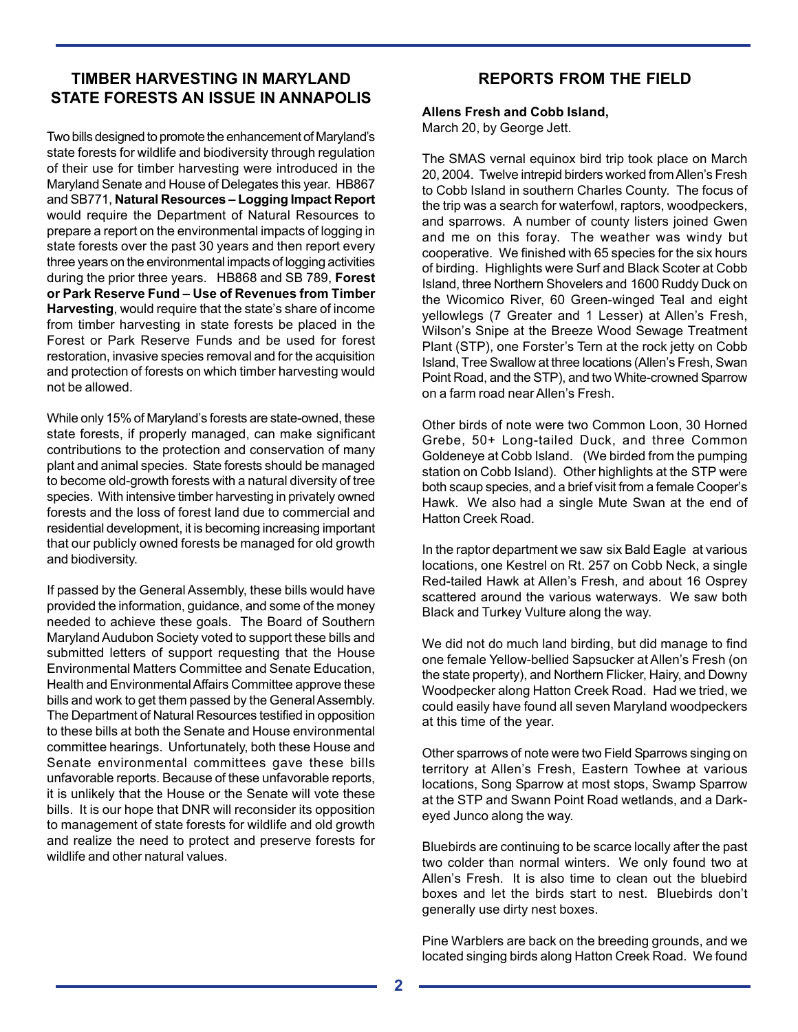## **TIMBER HARVESTING IN MARYLAND STATE FORESTS AN ISSUE IN ANNAPOLIS**

Two bills designed to promote the enhancement of Maryland's state forests for wildlife and biodiversity through regulation of their use for timber harvesting were introduced in the Maryland Senate and House of Delegates this year. HB867 and SB771, **Natural Resources – Logging Impact Report** would require the Department of Natural Resources to prepare a report on the environmental impacts of logging in state forests over the past 30 years and then report every three years on the environmental impacts of logging activities during the prior three years. HB868 and SB 789, **Forest or Park Reserve Fund – Use of Revenues from Timber Harvesting**, would require that the state's share of income from timber harvesting in state forests be placed in the Forest or Park Reserve Funds and be used for forest restoration, invasive species removal and for the acquisition and protection of forests on which timber harvesting would not be allowed.

While only 15% of Maryland's forests are state-owned, these state forests, if properly managed, can make significant contributions to the protection and conservation of many plant and animal species. State forests should be managed to become old-growth forests with a natural diversity of tree species. With intensive timber harvesting in privately owned forests and the loss of forest land due to commercial and residential development, it is becoming increasing important that our publicly owned forests be managed for old growth and biodiversity.

If passed by the General Assembly, these bills would have provided the information, guidance, and some of the money needed to achieve these goals. The Board of Southern Maryland Audubon Society voted to support these bills and submitted letters of support requesting that the House Environmental Matters Committee and Senate Education, Health and Environmental Affairs Committee approve these bills and work to get them passed by the General Assembly. The Department of Natural Resources testified in opposition to these bills at both the Senate and House environmental committee hearings. Unfortunately, both these House and Senate environmental committees gave these bills unfavorable reports. Because of these unfavorable reports, it is unlikely that the House or the Senate will vote these bills. It is our hope that DNR will reconsider its opposition to management of state forests for wildlife and old growth and realize the need to protect and preserve forests for wildlife and other natural values.

## **REPORTS FROM THE FIELD**

#### **Allens Fresh and Cobb Island,**

March 20, by George Jett.

The SMAS vernal equinox bird trip took place on March 20, 2004. Twelve intrepid birders worked from Allen's Fresh to Cobb Island in southern Charles County. The focus of the trip was a search for waterfowl, raptors, woodpeckers, and sparrows. A number of county listers joined Gwen and me on this foray. The weather was windy but cooperative. We finished with 65 species for the six hours of birding. Highlights were Surf and Black Scoter at Cobb Island, three Northern Shovelers and 1600 Ruddy Duck on the Wicomico River, 60 Green-winged Teal and eight yellowlegs (7 Greater and 1 Lesser) at Allen's Fresh, Wilson's Snipe at the Breeze Wood Sewage Treatment Plant (STP), one Forster's Tern at the rock jetty on Cobb Island, Tree Swallow at three locations (Allen's Fresh, Swan Point Road, and the STP), and two White-crowned Sparrow on a farm road near Allen's Fresh.

Other birds of note were two Common Loon, 30 Horned Grebe, 50+ Long-tailed Duck, and three Common Goldeneye at Cobb Island. (We birded from the pumping station on Cobb Island). Other highlights at the STP were both scaup species, and a brief visit from a female Cooper's Hawk. We also had a single Mute Swan at the end of Hatton Creek Road.

In the raptor department we saw six Bald Eagle at various locations, one Kestrel on Rt. 257 on Cobb Neck, a single Red-tailed Hawk at Allen's Fresh, and about 16 Osprey scattered around the various waterways. We saw both Black and Turkey Vulture along the way.

We did not do much land birding, but did manage to find one female Yellow-bellied Sapsucker at Allen's Fresh (on the state property), and Northern Flicker, Hairy, and Downy Woodpecker along Hatton Creek Road. Had we tried, we could easily have found all seven Maryland woodpeckers at this time of the year.

Other sparrows of note were two Field Sparrows singing on territory at Allen's Fresh, Eastern Towhee at various locations, Song Sparrow at most stops, Swamp Sparrow at the STP and Swann Point Road wetlands, and a Darkeyed Junco along the way.

Bluebirds are continuing to be scarce locally after the past two colder than normal winters. We only found two at Allen's Fresh. It is also time to clean out the bluebird boxes and let the birds start to nest. Bluebirds don't generally use dirty nest boxes.

Pine Warblers are back on the breeding grounds, and we located singing birds along Hatton Creek Road. We found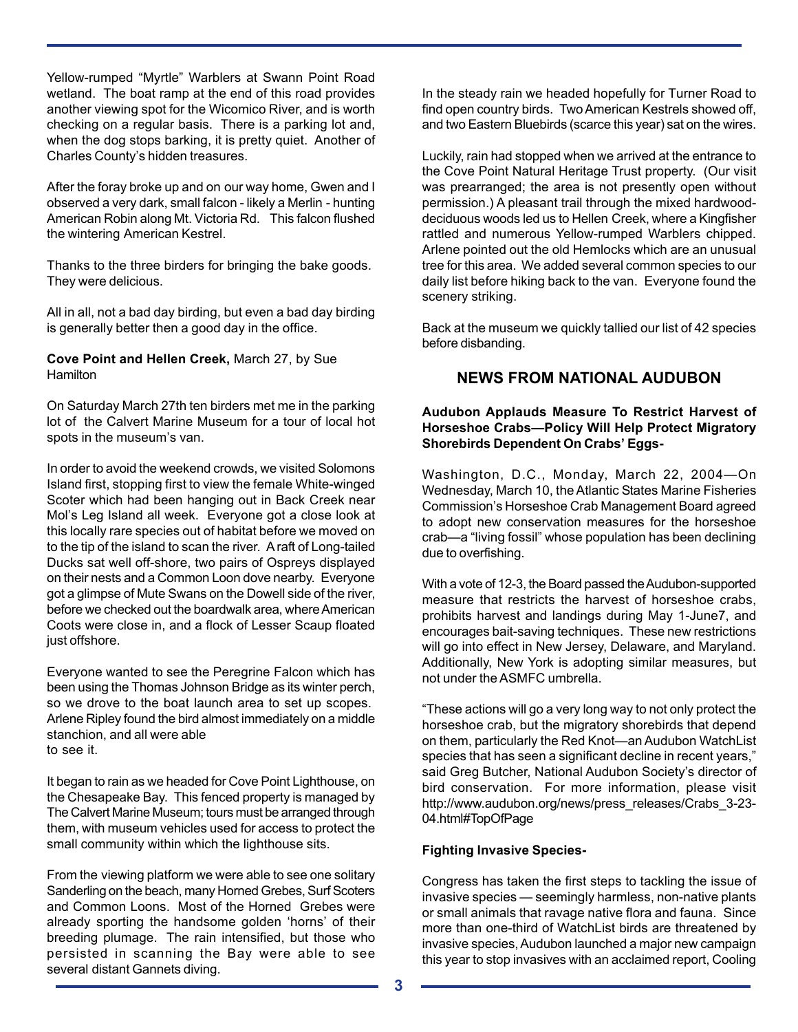Yellow-rumped "Myrtle" Warblers at Swann Point Road wetland. The boat ramp at the end of this road provides another viewing spot for the Wicomico River, and is worth checking on a regular basis. There is a parking lot and, when the dog stops barking, it is pretty quiet. Another of Charles County's hidden treasures.

After the foray broke up and on our way home, Gwen and I observed a very dark, small falcon - likely a Merlin - hunting American Robin along Mt. Victoria Rd. This falcon flushed the wintering American Kestrel.

Thanks to the three birders for bringing the bake goods. They were delicious.

All in all, not a bad day birding, but even a bad day birding is generally better then a good day in the office.

**Cove Point and Hellen Creek,** March 27, by Sue **Hamilton** 

On Saturday March 27th ten birders met me in the parking lot of the Calvert Marine Museum for a tour of local hot spots in the museum's van.

In order to avoid the weekend crowds, we visited Solomons Island first, stopping first to view the female White-winged Scoter which had been hanging out in Back Creek near Mol's Leg Island all week. Everyone got a close look at this locally rare species out of habitat before we moved on to the tip of the island to scan the river. A raft of Long-tailed Ducks sat well off-shore, two pairs of Ospreys displayed on their nests and a Common Loon dove nearby. Everyone got a glimpse of Mute Swans on the Dowell side of the river, before we checked out the boardwalk area, where American Coots were close in, and a flock of Lesser Scaup floated just offshore.

Everyone wanted to see the Peregrine Falcon which has been using the Thomas Johnson Bridge as its winter perch, so we drove to the boat launch area to set up scopes. Arlene Ripley found the bird almost immediately on a middle stanchion, and all were able to see it.

It began to rain as we headed for Cove Point Lighthouse, on the Chesapeake Bay. This fenced property is managed by The Calvert Marine Museum; tours must be arranged through them, with museum vehicles used for access to protect the small community within which the lighthouse sits.

From the viewing platform we were able to see one solitary Sanderling on the beach, many Horned Grebes, Surf Scoters and Common Loons. Most of the Horned Grebes were already sporting the handsome golden 'horns' of their breeding plumage. The rain intensified, but those who persisted in scanning the Bay were able to see several distant Gannets diving.

In the steady rain we headed hopefully for Turner Road to find open country birds. Two American Kestrels showed off, and two Eastern Bluebirds (scarce this year) sat on the wires.

Luckily, rain had stopped when we arrived at the entrance to the Cove Point Natural Heritage Trust property. (Our visit was prearranged; the area is not presently open without permission.) A pleasant trail through the mixed hardwooddeciduous woods led us to Hellen Creek, where a Kingfisher rattled and numerous Yellow-rumped Warblers chipped. Arlene pointed out the old Hemlocks which are an unusual tree for this area. We added several common species to our daily list before hiking back to the van. Everyone found the scenery striking.

Back at the museum we quickly tallied our list of 42 species before disbanding.

#### **NEWS FROM NATIONAL AUDUBON**

#### **Audubon Applauds Measure To Restrict Harvest of Horseshoe Crabs—Policy Will Help Protect Migratory Shorebirds Dependent On Crabs' Eggs-**

Washington, D.C., Monday, March 22, 2004—On Wednesday, March 10, the Atlantic States Marine Fisheries Commission's Horseshoe Crab Management Board agreed to adopt new conservation measures for the horseshoe crab—a "living fossil" whose population has been declining due to overfishing.

With a vote of 12-3, the Board passed the Audubon-supported measure that restricts the harvest of horseshoe crabs, prohibits harvest and landings during May 1-June7, and encourages bait-saving techniques. These new restrictions will go into effect in New Jersey, Delaware, and Maryland. Additionally, New York is adopting similar measures, but not under the ASMFC umbrella.

"These actions will go a very long way to not only protect the horseshoe crab, but the migratory shorebirds that depend on them, particularly the Red Knot—an Audubon WatchList species that has seen a significant decline in recent years," said Greg Butcher, National Audubon Society's director of bird conservation. For more information, please visit http://www.audubon.org/news/press\_releases/Crabs\_3-23- 04.html#TopOfPage

#### **Fighting Invasive Species-**

Congress has taken the first steps to tackling the issue of invasive species — seemingly harmless, non-native plants or small animals that ravage native flora and fauna. Since more than one-third of WatchList birds are threatened by invasive species, Audubon launched a major new campaign this year to stop invasives with an acclaimed report, Cooling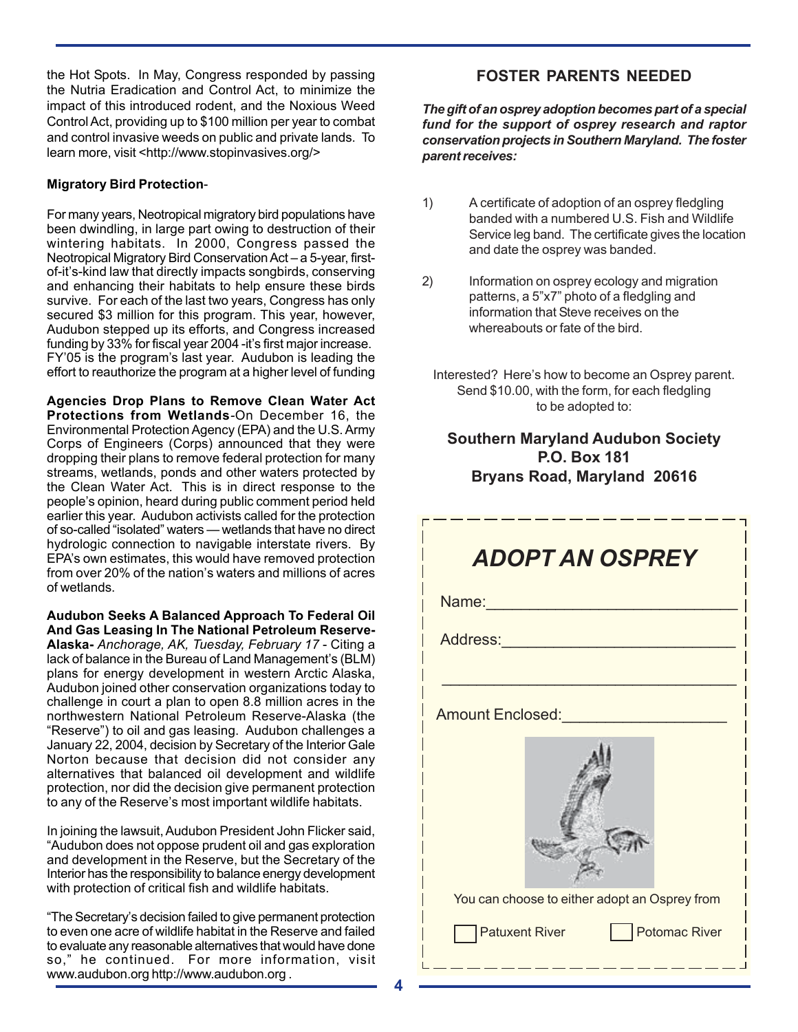the Hot Spots. In May, Congress responded by passing the Nutria Eradication and Control Act, to minimize the impact of this introduced rodent, and the Noxious Weed Control Act, providing up to \$100 million per year to combat and control invasive weeds on public and private lands. To learn more, visit <http://www.stopinvasives.org/>

#### **Migratory Bird Protection**-

For many years, Neotropical migratory bird populations have been dwindling, in large part owing to destruction of their wintering habitats. In 2000, Congress passed the Neotropical Migratory Bird Conservation Act – a 5-year, firstof-it's-kind law that directly impacts songbirds, conserving and enhancing their habitats to help ensure these birds survive. For each of the last two years, Congress has only secured \$3 million for this program. This year, however, Audubon stepped up its efforts, and Congress increased funding by 33% for fiscal year 2004 -it's first major increase. FY'05 is the program's last year. Audubon is leading the effort to reauthorize the program at a higher level of funding

**Agencies Drop Plans to Remove Clean Water Act Protections from Wetlands***-*On December 16, the Environmental Protection Agency (EPA) and the U.S. Army Corps of Engineers (Corps) announced that they were dropping their plans to remove federal protection for many streams, wetlands, ponds and other waters protected by the Clean Water Act. This is in direct response to the people's opinion, heard during public comment period held earlier this year. Audubon activists called for the protection of so-called "isolated" waters — wetlands that have no direct hydrologic connection to navigable interstate rivers. By EPA's own estimates, this would have removed protection from over 20% of the nation's waters and millions of acres of wetlands.

**Audubon Seeks A Balanced Approach To Federal Oil And Gas Leasing In The National Petroleum Reserve-Alaska-** *Anchorage, AK, Tuesday, February 17* - Citing a lack of balance in the Bureau of Land Management's (BLM) plans for energy development in western Arctic Alaska, Audubon joined other conservation organizations today to challenge in court a plan to open 8.8 million acres in the northwestern National Petroleum Reserve-Alaska (the "Reserve") to oil and gas leasing. Audubon challenges a January 22, 2004, decision by Secretary of the Interior Gale Norton because that decision did not consider any alternatives that balanced oil development and wildlife protection, nor did the decision give permanent protection to any of the Reserve's most important wildlife habitats.

In joining the lawsuit, Audubon President John Flicker said, "Audubon does not oppose prudent oil and gas exploration and development in the Reserve, but the Secretary of the Interior has the responsibility to balance energy development with protection of critical fish and wildlife habitats.

"The Secretary's decision failed to give permanent protection to even one acre of wildlife habitat in the Reserve and failed to evaluate any reasonable alternatives that would have done so," he continued. For more information, visit www.audubon.org http://www.audubon.org .

## **FOSTER PARENTS NEEDED**

*The gift of an osprey adoption becomes part of a special fund for the support of osprey research and raptor conservation projects in Southern Maryland. The foster parent receives:*

- 1) A certificate of adoption of an osprey fledgling banded with a numbered U.S. Fish and Wildlife Service leg band. The certificate gives the location and date the osprey was banded.
- 2) Information on osprey ecology and migration patterns, a 5"x7" photo of a fledgling and information that Steve receives on the whereabouts or fate of the bird.
	- Interested? Here's how to become an Osprey parent. Send \$10.00, with the form, for each fledgling to be adopted to:

## **Southern Maryland Audubon Society P.O. Box 181 Bryans Road, Maryland 20616**

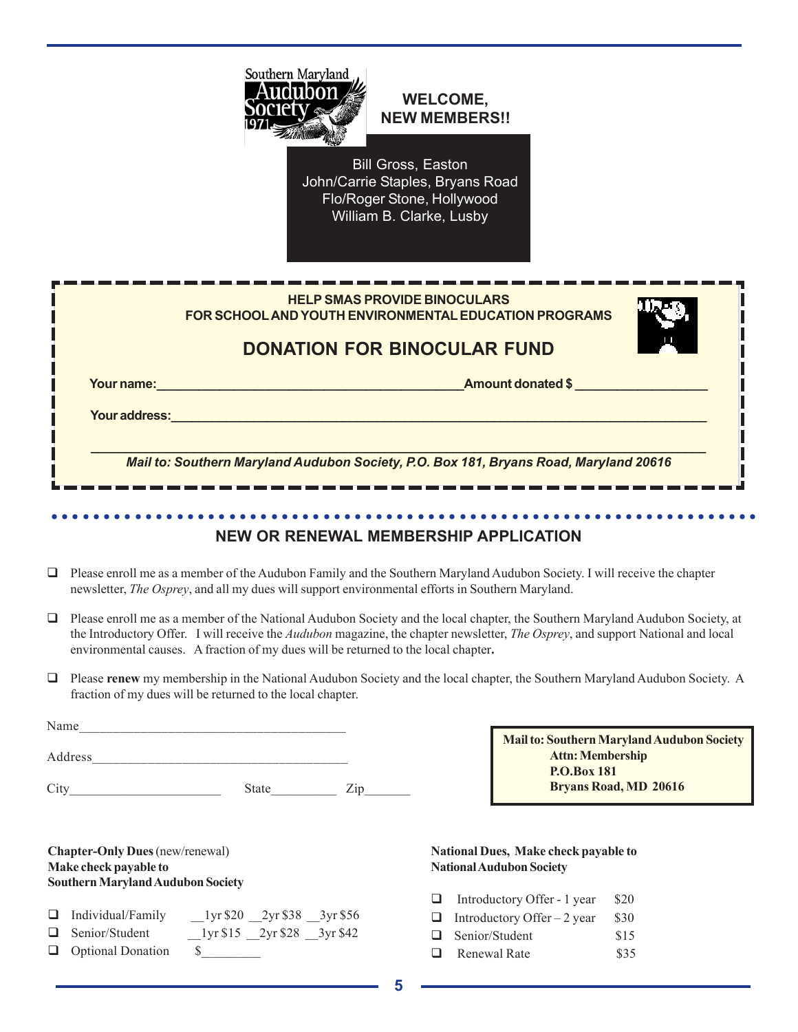

## **WELCOME, NEW MEMBERS!!**

Bill Gross, Easton John/Carrie Staples, Bryans Road Flo/Roger Stone, Hollywood William B. Clarke, Lusby

|               | <b>HELP SMAS PROVIDE BINOCULARS</b><br>FOR SCHOOL AND YOUTH ENVIRONMENTAL EDUCATION PROGRAMS |  |
|---------------|----------------------------------------------------------------------------------------------|--|
|               | <b>DONATION FOR BINOCULAR FUND</b>                                                           |  |
| Your name:    | <b>Amount donated \$</b>                                                                     |  |
| Your address: |                                                                                              |  |
|               | Mail to: Southern Maryland Audubon Society, P.O. Box 181, Bryans Road, Maryland 20616        |  |

## **NEW OR RENEWAL MEMBERSHIP APPLICATION**

○○○○○○○○○○○○○○○○○○○○○○○○○○○○○○○○○○○○○○○○○○○○○ ○○○○○○○○○○○○○○○○○○○○○○○

- $\Box$  Please enroll me as a member of the Audubon Family and the Southern Maryland Audubon Society. I will receive the chapter newsletter, *The Osprey*, and all my dues will support environmental efforts in Southern Maryland.
- Please enroll me as a member of the National Audubon Society and the local chapter, the Southern Maryland Audubon Society, at the Introductory Offer.I will receive the *Audubon* magazine, the chapter newsletter, *The Osprey*, and support National and local environmental causes. A fraction of my dues will be returned to the local chapter**.**
- Please **renew** my membership in the National Audubon Society and the local chapter, the Southern Maryland Audubon Society. A fraction of my dues will be returned to the local chapter.

| Name    |              |  |
|---------|--------------|--|
| Address |              |  |
|         | <b>State</b> |  |

**Chapter-Only Dues** (new/renewal) **Make check payable to Southern Maryland Audubon Society**

| $\Box$ Individual/Family | $_{2}$ l yr \$20 $_{2}$ 2yr \$38 $_{3}$ yr \$56 |                                           |  |
|--------------------------|-------------------------------------------------|-------------------------------------------|--|
|                          |                                                 | المناطب المتمطات المتحدث والمناطق المتحدث |  |

- $\Box$  Senior/Student  $\Box$  1yr \$15  $\Box$  2yr \$28  $\Box$  3yr \$42
- **Q** Optional Donation  $\$\$

**Mail to: Southern Maryland Audubon Society Attn: Membership P.O.Box 181 Bryans Road, MD 20616**

#### **National Dues, Make check payable to National Audubon Society**

| Q. | Introductory Offer - 1 year        | \$20 |
|----|------------------------------------|------|
|    | $\Box$ Introductory Offer – 2 year | \$30 |

- Senior/Student \$15
- **Example 20** Renewal Rate \$35